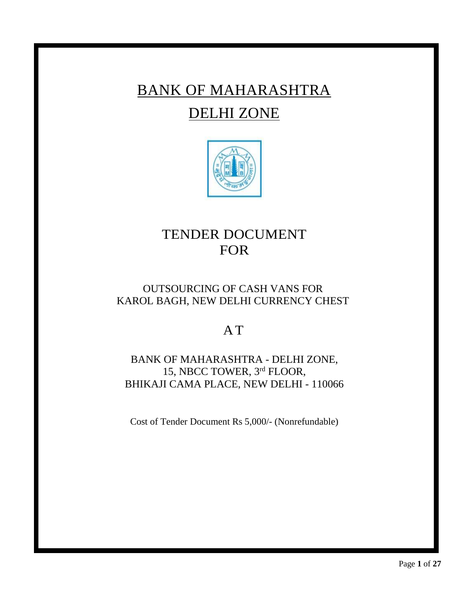# BANK OF MAHARASHTRA DELHI ZONE



## TENDER DOCUMENT FOR

## OUTSOURCING OF CASH VANS FOR KAROL BAGH, NEW DELHI CURRENCY CHEST

## A T

## BANK OF MAHARASHTRA - DELHI ZONE, 15, NBCC TOWER, 3 rd FLOOR, BHIKAJI CAMA PLACE, NEW DELHI - 110066

Cost of Tender Document Rs 5,000/- (Nonrefundable)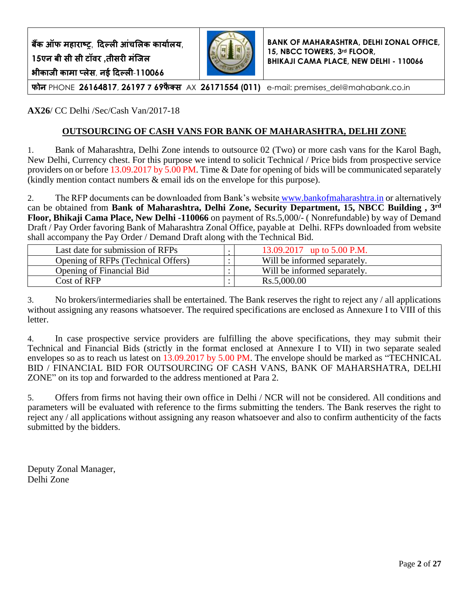**बैंक ऑफ महाराष्ट्र**, **दिल्ली आंचललक कार्ाालर्**, **15एन बी सी सी टॉवर ,तीसरी मंजिल भीकािी कामा प्लेस**, **नई दिल्ली**-**110066**



**BANK OF MAHARASHTRA, DELHI ZONAL OFFICE, 15, NBCC TOWERS, 3rd FLOOR, BHIKAJI CAMA PLACE, NEW DELHI - 110066**

**फोन** PHONE **26164817**, **26197 7 69फै क्स** AX **26171554 )011(** e-mail: premises\_del@mahabank.co.in

**AX26**/ CC Delhi /Sec/Cash Van/2017-18

## **OUTSOURCING OF CASH VANS FOR BANK OF MAHARASHTRA, DELHI ZONE**

1. Bank of Maharashtra, Delhi Zone intends to outsource 02 (Two) or more cash vans for the Karol Bagh, New Delhi, Currency chest. For this purpose we intend to solicit Technical / Price bids from prospective service providers on or before 13.09.2017 by 5.00 PM. Time & Date for opening of bids will be communicated separately (kindly mention contact numbers & email ids on the envelope for this purpose).

2. The RFP documents can be downloaded from Bank's website [www.bankofmaharashtra.in](http://www.bankofmaharashtra.in/) or alternatively can be obtained from **Bank of Maharashtra, Delhi Zone, Security Department, 15, NBCC Building , 3rd Floor, Bhikaji Cama Place, New Delhi -110066** on payment of Rs.5,000/- ( Nonrefundable) by way of Demand Draft / Pay Order favoring Bank of Maharashtra Zonal Office, payable at Delhi. RFPs downloaded from website shall accompany the Pay Order / Demand Draft along with the Technical Bid.

| Last date for submission of RFPs   | 13.09.2017 up to 5.00 P.M.   |
|------------------------------------|------------------------------|
| Opening of RFPs (Technical Offers) | Will be informed separately. |
| Opening of Financial Bid           | Will be informed separately. |
| Cost of RFP                        | Rs.5,000.00                  |

3. No brokers/intermediaries shall be entertained. The Bank reserves the right to reject any / all applications without assigning any reasons whatsoever. The required specifications are enclosed as Annexure I to VIII of this letter.

4. In case prospective service providers are fulfilling the above specifications, they may submit their Technical and Financial Bids (strictly in the format enclosed at Annexure I to VII) in two separate sealed envelopes so as to reach us latest on 13.09.2017 by 5.00 PM. The envelope should be marked as "TECHNICAL BID / FINANCIAL BID FOR OUTSOURCING OF CASH VANS, BANK OF MAHARSHATRA, DELHI ZONE" on its top and forwarded to the address mentioned at Para 2.

5. Offers from firms not having their own office in Delhi / NCR will not be considered. All conditions and parameters will be evaluated with reference to the firms submitting the tenders. The Bank reserves the right to reject any / all applications without assigning any reason whatsoever and also to confirm authenticity of the facts submitted by the bidders.

Deputy Zonal Manager, Delhi Zone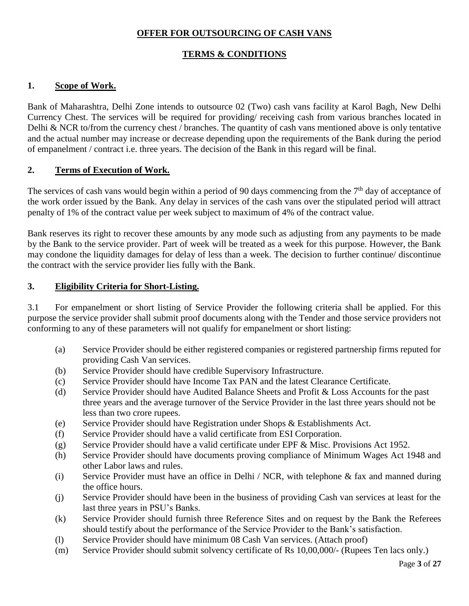## **OFFER FOR OUTSOURCING OF CASH VANS**

## **TERMS & CONDITIONS**

#### **1. Scope of Work.**

Bank of Maharashtra, Delhi Zone intends to outsource 02 (Two) cash vans facility at Karol Bagh, New Delhi Currency Chest. The services will be required for providing/ receiving cash from various branches located in Delhi & NCR to/from the currency chest / branches. The quantity of cash vans mentioned above is only tentative and the actual number may increase or decrease depending upon the requirements of the Bank during the period of empanelment / contract i.e. three years. The decision of the Bank in this regard will be final.

#### **2. Terms of Execution of Work.**

The services of cash vans would begin within a period of 90 days commencing from the  $7<sup>th</sup>$  day of acceptance of the work order issued by the Bank. Any delay in services of the cash vans over the stipulated period will attract penalty of 1% of the contract value per week subject to maximum of 4% of the contract value.

Bank reserves its right to recover these amounts by any mode such as adjusting from any payments to be made by the Bank to the service provider. Part of week will be treated as a week for this purpose. However, the Bank may condone the liquidity damages for delay of less than a week. The decision to further continue/ discontinue the contract with the service provider lies fully with the Bank.

#### **3. Eligibility Criteria for Short-Listing.**

3.1 For empanelment or short listing of Service Provider the following criteria shall be applied. For this purpose the service provider shall submit proof documents along with the Tender and those service providers not conforming to any of these parameters will not qualify for empanelment or short listing:

- (a) Service Provider should be either registered companies or registered partnership firms reputed for providing Cash Van services.
- (b) Service Provider should have credible Supervisory Infrastructure.
- (c) Service Provider should have Income Tax PAN and the latest Clearance Certificate.
- (d) Service Provider should have Audited Balance Sheets and Profit & Loss Accounts for the past three years and the average turnover of the Service Provider in the last three years should not be less than two crore rupees.
- (e) Service Provider should have Registration under Shops & Establishments Act.
- (f) Service Provider should have a valid certificate from ESI Corporation.
- (g) Service Provider should have a valid certificate under EPF & Misc. Provisions Act 1952.
- (h) Service Provider should have documents proving compliance of Minimum Wages Act 1948 and other Labor laws and rules.
- (i) Service Provider must have an office in Delhi / NCR, with telephone & fax and manned during the office hours.
- (j) Service Provider should have been in the business of providing Cash van services at least for the last three years in PSU's Banks.
- (k) Service Provider should furnish three Reference Sites and on request by the Bank the Referees should testify about the performance of the Service Provider to the Bank's satisfaction.
- (l) Service Provider should have minimum 08 Cash Van services. (Attach proof)
- (m) Service Provider should submit solvency certificate of Rs 10,00,000/- (Rupees Ten lacs only.)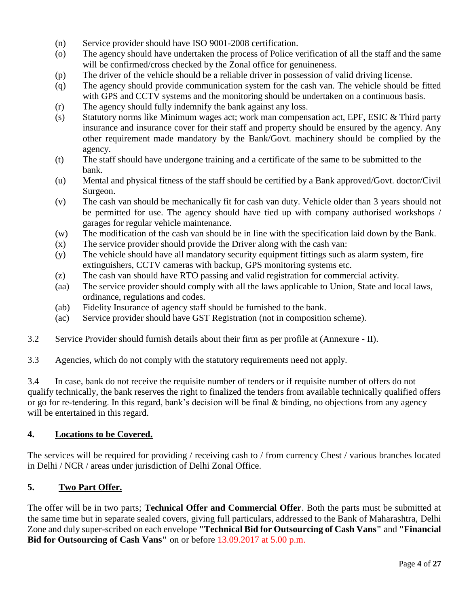- (n) Service provider should have ISO 9001-2008 certification.
- (o) The agency should have undertaken the process of Police verification of all the staff and the same will be confirmed/cross checked by the Zonal office for genuineness.
- (p) The driver of the vehicle should be a reliable driver in possession of valid driving license.
- (q) The agency should provide communication system for the cash van. The vehicle should be fitted with GPS and CCTV systems and the monitoring should be undertaken on a continuous basis.
- (r) The agency should fully indemnify the bank against any loss.
- (s) Statutory norms like Minimum wages act; work man compensation act, EPF, ESIC & Third party insurance and insurance cover for their staff and property should be ensured by the agency. Any other requirement made mandatory by the Bank/Govt. machinery should be complied by the agency.
- (t) The staff should have undergone training and a certificate of the same to be submitted to the bank.
- (u) Mental and physical fitness of the staff should be certified by a Bank approved/Govt. doctor/Civil Surgeon.
- (v) The cash van should be mechanically fit for cash van duty. Vehicle older than 3 years should not be permitted for use. The agency should have tied up with company authorised workshops / garages for regular vehicle maintenance.
- (w) The modification of the cash van should be in line with the specification laid down by the Bank.
- (x) The service provider should provide the Driver along with the cash van:
- (y) The vehicle should have all mandatory security equipment fittings such as alarm system, fire extinguishers, CCTV cameras with backup, GPS monitoring systems etc.
- (z) The cash van should have RTO passing and valid registration for commercial activity.
- (aa) The service provider should comply with all the laws applicable to Union, State and local laws, ordinance, regulations and codes.
- (ab) Fidelity Insurance of agency staff should be furnished to the bank.
- (ac) Service provider should have GST Registration (not in composition scheme).
- 3.2 Service Provider should furnish details about their firm as per profile at (Annexure II).
- 3.3 Agencies, which do not comply with the statutory requirements need not apply.

3.4 In case, bank do not receive the requisite number of tenders or if requisite number of offers do not qualify technically, the bank reserves the right to finalized the tenders from available technically qualified offers or go for re-tendering. In this regard, bank's decision will be final & binding, no objections from any agency will be entertained in this regard.

#### **4. Locations to be Covered.**

The services will be required for providing / receiving cash to / from currency Chest / various branches located in Delhi / NCR / areas under jurisdiction of Delhi Zonal Office.

## **5. Two Part Offer.**

The offer will be in two parts; **Technical Offer and Commercial Offer**. Both the parts must be submitted at the same time but in separate sealed covers, giving full particulars, addressed to the Bank of Maharashtra, Delhi Zone and duly super-scribed on each envelope **"Technical Bid for Outsourcing of Cash Vans"** and **"Financial Bid for Outsourcing of Cash Vans"** on or before 13.09.2017 at 5.00 p.m.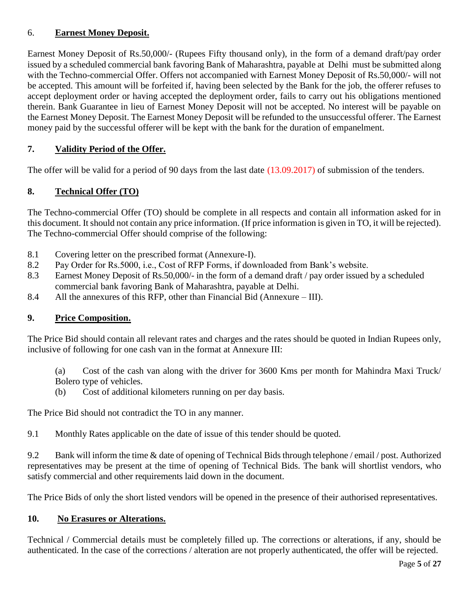## 6. **Earnest Money Deposit.**

Earnest Money Deposit of Rs.50,000/- (Rupees Fifty thousand only), in the form of a demand draft/pay order issued by a scheduled commercial bank favoring Bank of Maharashtra, payable at Delhi must be submitted along with the Techno-commercial Offer. Offers not accompanied with Earnest Money Deposit of Rs.50,000/- will not be accepted. This amount will be forfeited if, having been selected by the Bank for the job, the offerer refuses to accept deployment order or having accepted the deployment order, fails to carry out his obligations mentioned therein. Bank Guarantee in lieu of Earnest Money Deposit will not be accepted. No interest will be payable on the Earnest Money Deposit. The Earnest Money Deposit will be refunded to the unsuccessful offerer. The Earnest money paid by the successful offerer will be kept with the bank for the duration of empanelment.

## **7. Validity Period of the Offer.**

The offer will be valid for a period of 90 days from the last date (13.09.2017) of submission of the tenders.

## **8. Technical Offer (TO)**

The Techno-commercial Offer (TO) should be complete in all respects and contain all information asked for in this document. It should not contain any price information. (If price information is given in TO, it will be rejected). The Techno-commercial Offer should comprise of the following:

- 8.1 Covering letter on the prescribed format (Annexure-I).
- 8.2 Pay Order for Rs.5000, i.e., Cost of RFP Forms, if downloaded from Bank's website.
- 8.3 Earnest Money Deposit of Rs.50,000/- in the form of a demand draft / pay order issued by a scheduled commercial bank favoring Bank of Maharashtra, payable at Delhi.
- 8.4 All the annexures of this RFP, other than Financial Bid (Annexure III).

## **9. Price Composition.**

The Price Bid should contain all relevant rates and charges and the rates should be quoted in Indian Rupees only, inclusive of following for one cash van in the format at Annexure III:

(a) Cost of the cash van along with the driver for 3600 Kms per month for Mahindra Maxi Truck/ Bolero type of vehicles.

(b) Cost of additional kilometers running on per day basis.

The Price Bid should not contradict the TO in any manner.

9.1 Monthly Rates applicable on the date of issue of this tender should be quoted.

9.2 Bank will inform the time & date of opening of Technical Bids through telephone / email / post. Authorized representatives may be present at the time of opening of Technical Bids. The bank will shortlist vendors, who satisfy commercial and other requirements laid down in the document.

The Price Bids of only the short listed vendors will be opened in the presence of their authorised representatives.

#### **10. No Erasures or Alterations.**

Technical / Commercial details must be completely filled up. The corrections or alterations, if any, should be authenticated. In the case of the corrections / alteration are not properly authenticated, the offer will be rejected.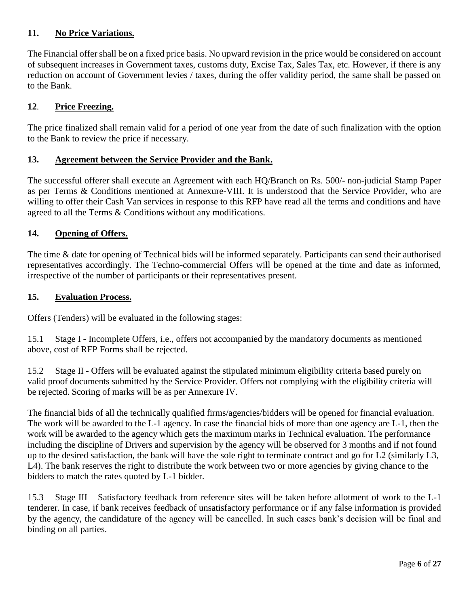## **11. No Price Variations.**

The Financial offer shall be on a fixed price basis. No upward revision in the price would be considered on account of subsequent increases in Government taxes, customs duty, Excise Tax, Sales Tax, etc. However, if there is any reduction on account of Government levies / taxes, during the offer validity period, the same shall be passed on to the Bank.

## **12**. **Price Freezing.**

The price finalized shall remain valid for a period of one year from the date of such finalization with the option to the Bank to review the price if necessary.

## **13. Agreement between the Service Provider and the Bank.**

The successful offerer shall execute an Agreement with each HQ/Branch on Rs. 500/- non-judicial Stamp Paper as per Terms & Conditions mentioned at Annexure-VIII. It is understood that the Service Provider, who are willing to offer their Cash Van services in response to this RFP have read all the terms and conditions and have agreed to all the Terms & Conditions without any modifications.

## **14. Opening of Offers.**

The time & date for opening of Technical bids will be informed separately. Participants can send their authorised representatives accordingly. The Techno-commercial Offers will be opened at the time and date as informed, irrespective of the number of participants or their representatives present.

#### **15. Evaluation Process.**

Offers (Tenders) will be evaluated in the following stages:

15.1 Stage I - Incomplete Offers, i.e., offers not accompanied by the mandatory documents as mentioned above, cost of RFP Forms shall be rejected.

15.2 Stage II - Offers will be evaluated against the stipulated minimum eligibility criteria based purely on valid proof documents submitted by the Service Provider. Offers not complying with the eligibility criteria will be rejected. Scoring of marks will be as per Annexure IV.

The financial bids of all the technically qualified firms/agencies/bidders will be opened for financial evaluation. The work will be awarded to the L-1 agency. In case the financial bids of more than one agency are L-1, then the work will be awarded to the agency which gets the maximum marks in Technical evaluation. The performance including the discipline of Drivers and supervision by the agency will be observed for 3 months and if not found up to the desired satisfaction, the bank will have the sole right to terminate contract and go for L2 (similarly L3, L4). The bank reserves the right to distribute the work between two or more agencies by giving chance to the bidders to match the rates quoted by L-1 bidder.

15.3 Stage III – Satisfactory feedback from reference sites will be taken before allotment of work to the L-1 tenderer. In case, if bank receives feedback of unsatisfactory performance or if any false information is provided by the agency, the candidature of the agency will be cancelled. In such cases bank's decision will be final and binding on all parties.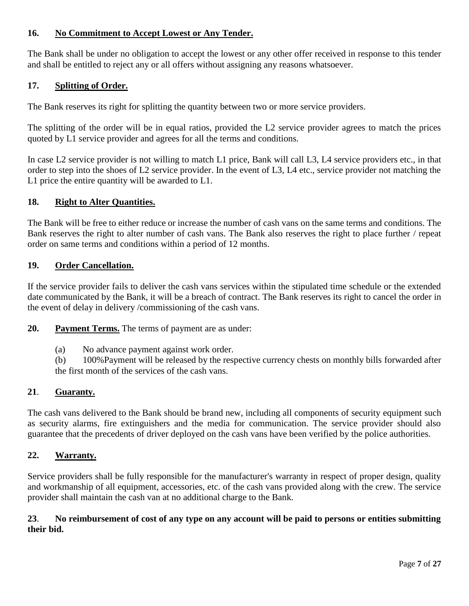## **16. No Commitment to Accept Lowest or Any Tender.**

The Bank shall be under no obligation to accept the lowest or any other offer received in response to this tender and shall be entitled to reject any or all offers without assigning any reasons whatsoever.

#### **17. Splitting of Order.**

The Bank reserves its right for splitting the quantity between two or more service providers.

The splitting of the order will be in equal ratios, provided the L2 service provider agrees to match the prices quoted by L1 service provider and agrees for all the terms and conditions.

In case L2 service provider is not willing to match L1 price, Bank will call L3, L4 service providers etc., in that order to step into the shoes of L2 service provider. In the event of L3, L4 etc., service provider not matching the L1 price the entire quantity will be awarded to L1.

#### **18. Right to Alter Quantities.**

The Bank will be free to either reduce or increase the number of cash vans on the same terms and conditions. The Bank reserves the right to alter number of cash vans. The Bank also reserves the right to place further / repeat order on same terms and conditions within a period of 12 months.

#### **19. Order Cancellation.**

If the service provider fails to deliver the cash vans services within the stipulated time schedule or the extended date communicated by the Bank, it will be a breach of contract. The Bank reserves its right to cancel the order in the event of delay in delivery /commissioning of the cash vans.

**20. Payment Terms.** The terms of payment are as under:

(a) No advance payment against work order.

(b) 100%Payment will be released by the respective currency chests on monthly bills forwarded after the first month of the services of the cash vans.

#### **21**. **Guaranty.**

The cash vans delivered to the Bank should be brand new, including all components of security equipment such as security alarms, fire extinguishers and the media for communication. The service provider should also guarantee that the precedents of driver deployed on the cash vans have been verified by the police authorities.

#### **22. Warranty.**

Service providers shall be fully responsible for the manufacturer's warranty in respect of proper design, quality and workmanship of all equipment, accessories, etc. of the cash vans provided along with the crew. The service provider shall maintain the cash van at no additional charge to the Bank.

#### **23**. **No reimbursement of cost of any type on any account will be paid to persons or entities submitting their bid.**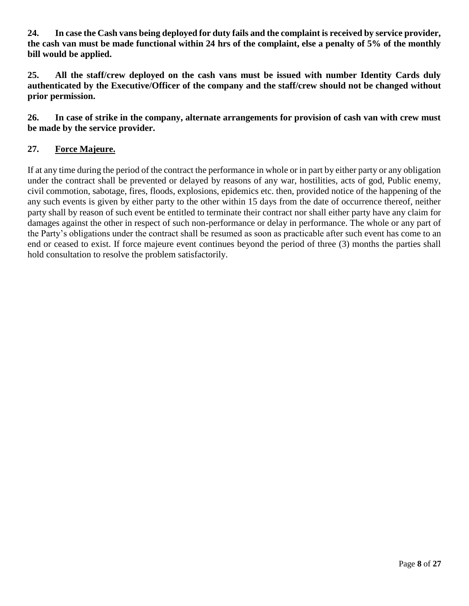**24. In case the Cash vans being deployed for duty fails and the complaint is received by service provider, the cash van must be made functional within 24 hrs of the complaint, else a penalty of 5% of the monthly bill would be applied.**

**25. All the staff/crew deployed on the cash vans must be issued with number Identity Cards duly authenticated by the Executive/Officer of the company and the staff/crew should not be changed without prior permission.**

**26. In case of strike in the company, alternate arrangements for provision of cash van with crew must be made by the service provider.**

## **27. Force Majeure.**

If at any time during the period of the contract the performance in whole or in part by either party or any obligation under the contract shall be prevented or delayed by reasons of any war, hostilities, acts of god, Public enemy, civil commotion, sabotage, fires, floods, explosions, epidemics etc. then, provided notice of the happening of the any such events is given by either party to the other within 15 days from the date of occurrence thereof, neither party shall by reason of such event be entitled to terminate their contract nor shall either party have any claim for damages against the other in respect of such non-performance or delay in performance. The whole or any part of the Party's obligations under the contract shall be resumed as soon as practicable after such event has come to an end or ceased to exist. If force majeure event continues beyond the period of three (3) months the parties shall hold consultation to resolve the problem satisfactorily.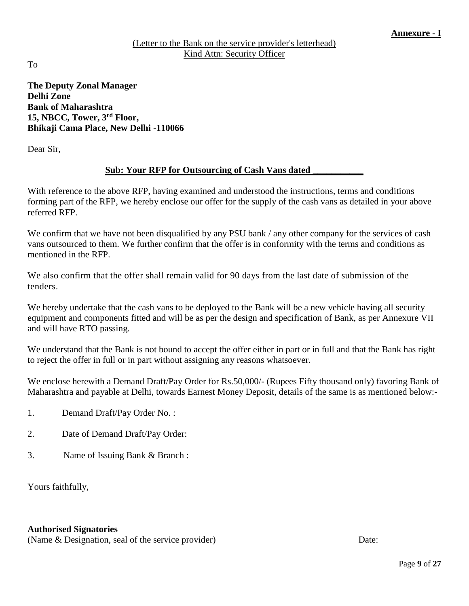#### (Letter to the Bank on the service provider's letterhead) Kind Attn: Security Officer

To

**The Deputy Zonal Manager Delhi Zone Bank of Maharashtra 15, NBCC, Tower, 3rd Floor, Bhikaji Cama Place, New Delhi -110066**

Dear Sir,

## **Sub: Your RFP for Outsourcing of Cash Vans dated \_\_\_\_\_\_\_\_\_\_\_**

With reference to the above RFP, having examined and understood the instructions, terms and conditions forming part of the RFP, we hereby enclose our offer for the supply of the cash vans as detailed in your above referred RFP.

We confirm that we have not been disqualified by any PSU bank / any other company for the services of cash vans outsourced to them. We further confirm that the offer is in conformity with the terms and conditions as mentioned in the RFP.

We also confirm that the offer shall remain valid for 90 days from the last date of submission of the tenders.

We hereby undertake that the cash vans to be deployed to the Bank will be a new vehicle having all security equipment and components fitted and will be as per the design and specification of Bank, as per Annexure VII and will have RTO passing.

We understand that the Bank is not bound to accept the offer either in part or in full and that the Bank has right to reject the offer in full or in part without assigning any reasons whatsoever.

We enclose herewith a Demand Draft/Pay Order for Rs.50,000/- (Rupees Fifty thousand only) favoring Bank of Maharashtra and payable at Delhi, towards Earnest Money Deposit, details of the same is as mentioned below:-

- 1. Demand Draft/Pay Order No. :
- 2. Date of Demand Draft/Pay Order:
- 3. Name of Issuing Bank & Branch :

Yours faithfully,

#### **Authorised Signatories**

(Name & Designation, seal of the service provider) Date: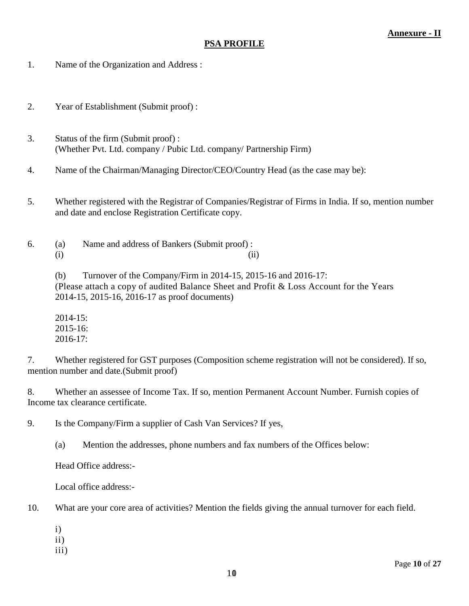#### **PSA PROFILE**

- 1. Name of the Organization and Address :
- 2. Year of Establishment (Submit proof) :
- 3. Status of the firm (Submit proof) : (Whether Pvt. Ltd. company / Pubic Ltd. company/ Partnership Firm)
- 4. Name of the Chairman/Managing Director/CEO/Country Head (as the case may be):
- 5. Whether registered with the Registrar of Companies/Registrar of Firms in India. If so, mention number and date and enclose Registration Certificate copy.
- 6. (a) Name and address of Bankers (Submit proof) :  $(i)$   $(ii)$

(b) Turnover of the Company/Firm in 2014-15, 2015-16 and 2016-17: (Please attach a copy of audited Balance Sheet and Profit & Loss Account for the Years 2014-15, 2015-16, 2016-17 as proof documents)

2014-15: 2015-16: 2016-17:

7. Whether registered for GST purposes (Composition scheme registration will not be considered). If so, mention number and date.(Submit proof)

8. Whether an assessee of Income Tax. If so, mention Permanent Account Number. Furnish copies of Income tax clearance certificate.

9. Is the Company/Firm a supplier of Cash Van Services? If yes,

(a) Mention the addresses, phone numbers and fax numbers of the Offices below:

Head Office address:-

Local office address:-

10. What are your core area of activities? Mention the fields giving the annual turnover for each field.

- i)
- ii)
- iii)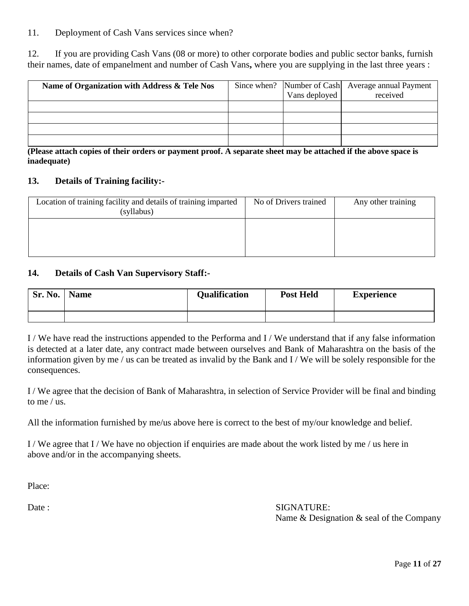#### 11. Deployment of Cash Vans services since when?

12. If you are providing Cash Vans (08 or more) to other corporate bodies and public sector banks, furnish their names, date of empanelment and number of Cash Vans**,** where you are supplying in the last three years :

| Name of Organization with Address & Tele Nos | Vans deployed | Since when? Number of Cash Average annual Payment<br>received |
|----------------------------------------------|---------------|---------------------------------------------------------------|
|                                              |               |                                                               |
|                                              |               |                                                               |
|                                              |               |                                                               |
|                                              |               |                                                               |

**(Please attach copies of their orders or payment proof. A separate sheet may be attached if the above space is inadequate)**

#### **13. Details of Training facility:-**

| Location of training facility and details of training imparted<br>(syllabus) | No of Drivers trained | Any other training |
|------------------------------------------------------------------------------|-----------------------|--------------------|
|                                                                              |                       |                    |
|                                                                              |                       |                    |

#### **14. Details of Cash Van Supervisory Staff:-**

| Sr. No. | <b>Name</b> | <b>Qualification</b> | <b>Post Held</b> | <b>Experience</b> |
|---------|-------------|----------------------|------------------|-------------------|
|         |             |                      |                  |                   |

I / We have read the instructions appended to the Performa and I / We understand that if any false information is detected at a later date, any contract made between ourselves and Bank of Maharashtra on the basis of the information given by me / us can be treated as invalid by the Bank and I / We will be solely responsible for the consequences.

I / We agree that the decision of Bank of Maharashtra, in selection of Service Provider will be final and binding to me / us.

All the information furnished by me/us above here is correct to the best of my/our knowledge and belief.

I / We agree that I / We have no objection if enquiries are made about the work listed by me / us here in above and/or in the accompanying sheets.

Place:

Date : SIGNATURE: Name & Designation & seal of the Company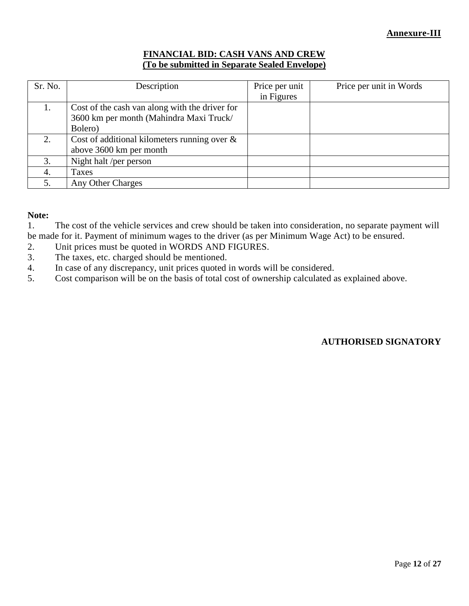#### **FINANCIAL BID: CASH VANS AND CREW (To be submitted in Separate Sealed Envelope)**

| Sr. No. | Description                                                                                          | Price per unit<br>in Figures | Price per unit in Words |
|---------|------------------------------------------------------------------------------------------------------|------------------------------|-------------------------|
|         | Cost of the cash van along with the driver for<br>3600 km per month (Mahindra Maxi Truck/<br>Bolero) |                              |                         |
| 2.      | Cost of additional kilometers running over $\&$<br>above 3600 km per month                           |                              |                         |
| 3.      | Night halt /per person                                                                               |                              |                         |
| 4.      | Taxes                                                                                                |                              |                         |
| 5.      | Any Other Charges                                                                                    |                              |                         |

#### **Note:**

1. The cost of the vehicle services and crew should be taken into consideration, no separate payment will be made for it. Payment of minimum wages to the driver (as per Minimum Wage Act) to be ensured.

- 2. Unit prices must be quoted in WORDS AND FIGURES.
- 3. The taxes, etc. charged should be mentioned.
- 4. In case of any discrepancy, unit prices quoted in words will be considered.<br>5. Cost comparison will be on the basis of total cost of ownership calculated a
- 5. Cost comparison will be on the basis of total cost of ownership calculated as explained above.

## **AUTHORISED SIGNATORY**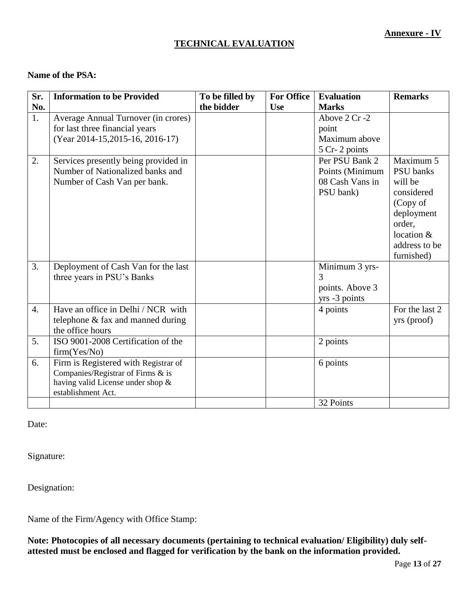## **TECHNICAL EVALUATION**

#### **Name of the PSA:**

| No.<br>the bidder<br><b>Marks</b><br><b>Use</b><br>1.<br>Above 2 Cr -2<br>Average Annual Turnover (in crores)<br>for last three financial years<br>point<br>(Year 2014-15,2015-16, 2016-17)<br>Maximum above<br>5 Cr-2 points<br>Maximum 5<br>Per PSU Bank 2<br>2.<br>Services presently being provided in<br>Number of Nationalized banks and<br><b>PSU</b> banks<br>Points (Minimum | Sr. | <b>Information to be Provided</b> | To be filled by | <b>For Office</b> | <b>Evaluation</b> | <b>Remarks</b> |
|---------------------------------------------------------------------------------------------------------------------------------------------------------------------------------------------------------------------------------------------------------------------------------------------------------------------------------------------------------------------------------------|-----|-----------------------------------|-----------------|-------------------|-------------------|----------------|
|                                                                                                                                                                                                                                                                                                                                                                                       |     |                                   |                 |                   |                   |                |
|                                                                                                                                                                                                                                                                                                                                                                                       |     |                                   |                 |                   |                   |                |
|                                                                                                                                                                                                                                                                                                                                                                                       |     |                                   |                 |                   |                   |                |
|                                                                                                                                                                                                                                                                                                                                                                                       |     |                                   |                 |                   |                   |                |
|                                                                                                                                                                                                                                                                                                                                                                                       |     |                                   |                 |                   |                   |                |
|                                                                                                                                                                                                                                                                                                                                                                                       |     |                                   |                 |                   |                   |                |
|                                                                                                                                                                                                                                                                                                                                                                                       |     |                                   |                 |                   |                   |                |
| Number of Cash Van per bank.<br>08 Cash Vans in<br>will be                                                                                                                                                                                                                                                                                                                            |     |                                   |                 |                   |                   |                |
| PSU bank)<br>considered                                                                                                                                                                                                                                                                                                                                                               |     |                                   |                 |                   |                   |                |
| (Copy of                                                                                                                                                                                                                                                                                                                                                                              |     |                                   |                 |                   |                   |                |
| deployment                                                                                                                                                                                                                                                                                                                                                                            |     |                                   |                 |                   |                   |                |
| order,                                                                                                                                                                                                                                                                                                                                                                                |     |                                   |                 |                   |                   |                |
| location &                                                                                                                                                                                                                                                                                                                                                                            |     |                                   |                 |                   |                   |                |
|                                                                                                                                                                                                                                                                                                                                                                                       |     |                                   |                 |                   |                   | address to be  |
| furnished)                                                                                                                                                                                                                                                                                                                                                                            |     |                                   |                 |                   |                   |                |
| 3.<br>Deployment of Cash Van for the last<br>Minimum 3 yrs-                                                                                                                                                                                                                                                                                                                           |     |                                   |                 |                   |                   |                |
| three years in PSU's Banks<br>3                                                                                                                                                                                                                                                                                                                                                       |     |                                   |                 |                   |                   |                |
| points. Above 3                                                                                                                                                                                                                                                                                                                                                                       |     |                                   |                 |                   |                   |                |
| yrs -3 points                                                                                                                                                                                                                                                                                                                                                                         |     |                                   |                 |                   |                   |                |
| Have an office in Delhi / NCR with<br>4 points<br>$\overline{4}$ .                                                                                                                                                                                                                                                                                                                    |     |                                   |                 |                   |                   | For the last 2 |
| telephone & fax and manned during<br>yrs (proof)                                                                                                                                                                                                                                                                                                                                      |     |                                   |                 |                   |                   |                |
| the office hours                                                                                                                                                                                                                                                                                                                                                                      |     |                                   |                 |                   |                   |                |
| ISO 9001-2008 Certification of the<br>5.<br>2 points                                                                                                                                                                                                                                                                                                                                  |     |                                   |                 |                   |                   |                |
| firm(Yes/No)                                                                                                                                                                                                                                                                                                                                                                          |     |                                   |                 |                   |                   |                |
| Firm is Registered with Registrar of<br>6.<br>6 points                                                                                                                                                                                                                                                                                                                                |     |                                   |                 |                   |                   |                |
| Companies/Registrar of Firms & is                                                                                                                                                                                                                                                                                                                                                     |     |                                   |                 |                   |                   |                |
| having valid License under shop &<br>establishment Act.                                                                                                                                                                                                                                                                                                                               |     |                                   |                 |                   |                   |                |
| 32 Points                                                                                                                                                                                                                                                                                                                                                                             |     |                                   |                 |                   |                   |                |

Date:

Signature:

Designation:

Name of the Firm/Agency with Office Stamp:

**Note: Photocopies of all necessary documents (pertaining to technical evaluation/ Eligibility) duly selfattested must be enclosed and flagged for verification by the bank on the information provided.**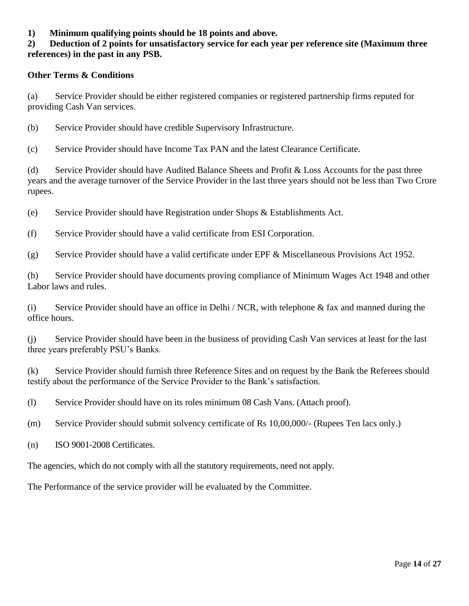**1) Minimum qualifying points should be 18 points and above.**

#### **2) Deduction of 2 points for unsatisfactory service for each year per reference site (Maximum three references) in the past in any PSB.**

#### **Other Terms & Conditions**

(a) Service Provider should be either registered companies or registered partnership firms reputed for providing Cash Van services.

(b) Service Provider should have credible Supervisory Infrastructure.

(c) Service Provider should have Income Tax PAN and the latest Clearance Certificate.

(d) Service Provider should have Audited Balance Sheets and Profit & Loss Accounts for the past three years and the average turnover of the Service Provider in the last three years should not be less than Two Crore rupees.

(e) Service Provider should have Registration under Shops & Establishments Act.

(f) Service Provider should have a valid certificate from ESI Corporation.

(g) Service Provider should have a valid certificate under EPF & Miscellaneous Provisions Act 1952.

(h) Service Provider should have documents proving compliance of Minimum Wages Act 1948 and other Labor laws and rules.

(i) Service Provider should have an office in Delhi / NCR, with telephone & fax and manned during the office hours.

(j) Service Provider should have been in the business of providing Cash Van services at least for the last three years preferably PSU's Banks.

(k) Service Provider should furnish three Reference Sites and on request by the Bank the Referees should testify about the performance of the Service Provider to the Bank's satisfaction.

(l) Service Provider should have on its roles minimum 08 Cash Vans. (Attach proof).

(m) Service Provider should submit solvency certificate of Rs 10,00,000/- (Rupees Ten lacs only.)

(n) ISO 9001-2008 Certificates.

The agencies, which do not comply with all the statutory requirements, need not apply.

The Performance of the service provider will be evaluated by the Committee.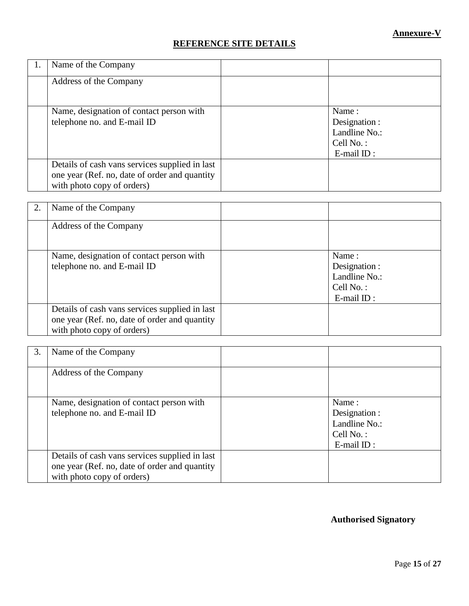## **REFERENCE SITE DETAILS**

| Name of the Company                                                                                                           |                                                                          |
|-------------------------------------------------------------------------------------------------------------------------------|--------------------------------------------------------------------------|
| Address of the Company                                                                                                        |                                                                          |
| Name, designation of contact person with<br>telephone no. and E-mail ID                                                       | Name:<br>Designation :<br>Landline No.:<br>Cell No.:<br>$E$ -mail $ID$ : |
| Details of cash vans services supplied in last<br>one year (Ref. no, date of order and quantity<br>with photo copy of orders) |                                                                          |

| 2. | Name of the Company                                                                                                           |                                                                          |
|----|-------------------------------------------------------------------------------------------------------------------------------|--------------------------------------------------------------------------|
|    | Address of the Company                                                                                                        |                                                                          |
|    | Name, designation of contact person with<br>telephone no. and E-mail ID                                                       | Name:<br>Designation :<br>Landline No.:<br>Cell No.:<br>$E$ -mail $ID$ : |
|    | Details of cash vans services supplied in last<br>one year (Ref. no, date of order and quantity<br>with photo copy of orders) |                                                                          |

| 3. | Name of the Company                                                                                                           |                                                                          |
|----|-------------------------------------------------------------------------------------------------------------------------------|--------------------------------------------------------------------------|
|    | Address of the Company                                                                                                        |                                                                          |
|    | Name, designation of contact person with<br>telephone no. and E-mail ID                                                       | Name:<br>Designation :<br>Landline No.:<br>Cell No.:<br>$E$ -mail $ID$ : |
|    | Details of cash vans services supplied in last<br>one year (Ref. no, date of order and quantity<br>with photo copy of orders) |                                                                          |

## **Authorised Signatory**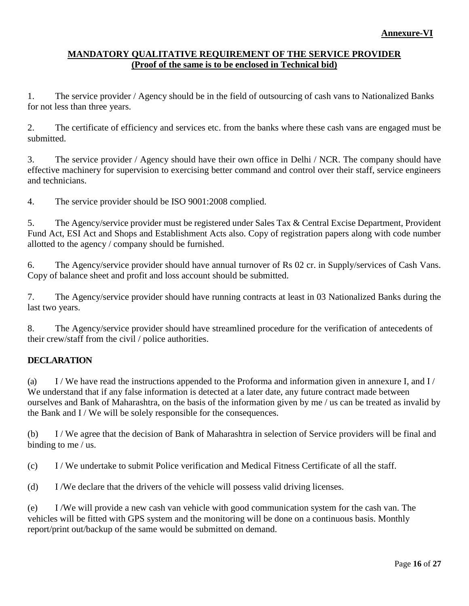#### **MANDATORY QUALITATIVE REQUIREMENT OF THE SERVICE PROVIDER (Proof of the same is to be enclosed in Technical bid)**

1. The service provider / Agency should be in the field of outsourcing of cash vans to Nationalized Banks for not less than three years.

2. The certificate of efficiency and services etc. from the banks where these cash vans are engaged must be submitted.

3. The service provider / Agency should have their own office in Delhi / NCR. The company should have effective machinery for supervision to exercising better command and control over their staff, service engineers and technicians.

4. The service provider should be ISO 9001:2008 complied.

5. The Agency/service provider must be registered under Sales Tax & Central Excise Department, Provident Fund Act, ESI Act and Shops and Establishment Acts also. Copy of registration papers along with code number allotted to the agency / company should be furnished.

6. The Agency/service provider should have annual turnover of Rs 02 cr. in Supply/services of Cash Vans. Copy of balance sheet and profit and loss account should be submitted.

7. The Agency/service provider should have running contracts at least in 03 Nationalized Banks during the last two years.

8. The Agency/service provider should have streamlined procedure for the verification of antecedents of their crew/staff from the civil / police authorities.

## **DECLARATION**

(a) I / We have read the instructions appended to the Proforma and information given in annexure I, and I / We understand that if any false information is detected at a later date, any future contract made between ourselves and Bank of Maharashtra, on the basis of the information given by me / us can be treated as invalid by the Bank and I / We will be solely responsible for the consequences.

(b) I / We agree that the decision of Bank of Maharashtra in selection of Service providers will be final and binding to me / us.

(c) I / We undertake to submit Police verification and Medical Fitness Certificate of all the staff.

(d) I /We declare that the drivers of the vehicle will possess valid driving licenses.

(e) I /We will provide a new cash van vehicle with good communication system for the cash van. The vehicles will be fitted with GPS system and the monitoring will be done on a continuous basis. Monthly report/print out/backup of the same would be submitted on demand.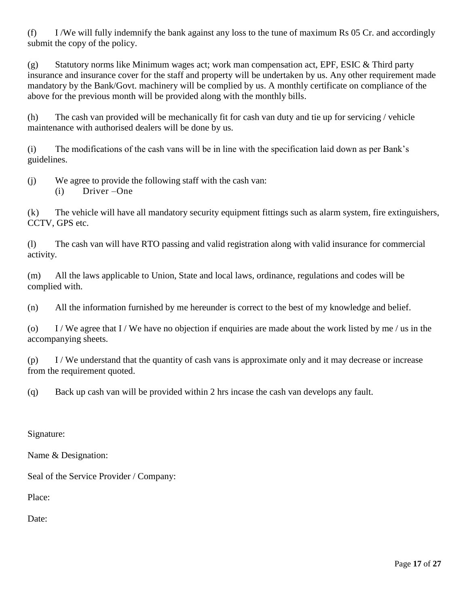(f) I /We will fully indemnify the bank against any loss to the tune of maximum Rs 05 Cr. and accordingly submit the copy of the policy.

(g) Statutory norms like Minimum wages act; work man compensation act, EPF, ESIC & Third party insurance and insurance cover for the staff and property will be undertaken by us. Any other requirement made mandatory by the Bank/Govt. machinery will be complied by us. A monthly certificate on compliance of the above for the previous month will be provided along with the monthly bills.

(h) The cash van provided will be mechanically fit for cash van duty and tie up for servicing / vehicle maintenance with authorised dealers will be done by us.

(i) The modifications of the cash vans will be in line with the specification laid down as per Bank's guidelines.

(j) We agree to provide the following staff with the cash van: (i) Driver –One

(k) The vehicle will have all mandatory security equipment fittings such as alarm system, fire extinguishers, CCTV, GPS etc.

(l) The cash van will have RTO passing and valid registration along with valid insurance for commercial activity.

(m) All the laws applicable to Union, State and local laws, ordinance, regulations and codes will be complied with.

(n) All the information furnished by me hereunder is correct to the best of my knowledge and belief.

(o) I / We agree that I / We have no objection if enquiries are made about the work listed by me / us in the accompanying sheets.

 $(p)$  I / We understand that the quantity of cash vans is approximate only and it may decrease or increase from the requirement quoted.

(q) Back up cash van will be provided within 2 hrs incase the cash van develops any fault.

Signature:

Name & Designation:

Seal of the Service Provider / Company:

Place:

Date: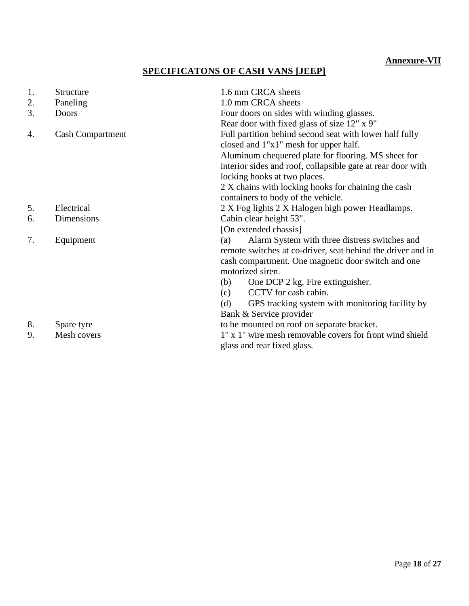## **SPECIFICATONS OF CASH VANS [JEEP]**

| 1. | <b>Structure</b>        | 1.6 mm CRCA sheets                                          |
|----|-------------------------|-------------------------------------------------------------|
| 2. | Paneling                | 1.0 mm CRCA sheets                                          |
| 3. | <b>Doors</b>            | Four doors on sides with winding glasses.                   |
|    |                         | Rear door with fixed glass of size 12" x 9"                 |
| 4. | <b>Cash Compartment</b> | Full partition behind second seat with lower half fully     |
|    |                         | closed and 1"x1" mesh for upper half.                       |
|    |                         | Aluminum chequered plate for flooring. MS sheet for         |
|    |                         | interior sides and roof, collapsible gate at rear door with |
|    |                         | locking hooks at two places.                                |
|    |                         | 2 X chains with locking hooks for chaining the cash         |
|    |                         | containers to body of the vehicle.                          |
| 5. | Electrical              | 2 X Fog lights 2 X Halogen high power Headlamps.            |
| 6. | Dimensions              | Cabin clear height 53".                                     |
|    |                         | [On extended chassis]                                       |
| 7. | Equipment               | Alarm System with three distress switches and<br>(a)        |
|    |                         | remote switches at co-driver, seat behind the driver and in |
|    |                         | cash compartment. One magnetic door switch and one          |
|    |                         | motorized siren.                                            |
|    |                         | One DCP 2 kg. Fire extinguisher.<br>(b)                     |
|    |                         | CCTV for cash cabin.<br>(c)                                 |
|    |                         | GPS tracking system with monitoring facility by<br>(d)      |
|    |                         | Bank & Service provider                                     |
| 8. | Spare tyre              | to be mounted on roof on separate bracket.                  |
| 9. | Mesh covers             | 1" x 1" wire mesh removable covers for front wind shield    |
|    |                         | glass and rear fixed glass.                                 |
|    |                         |                                                             |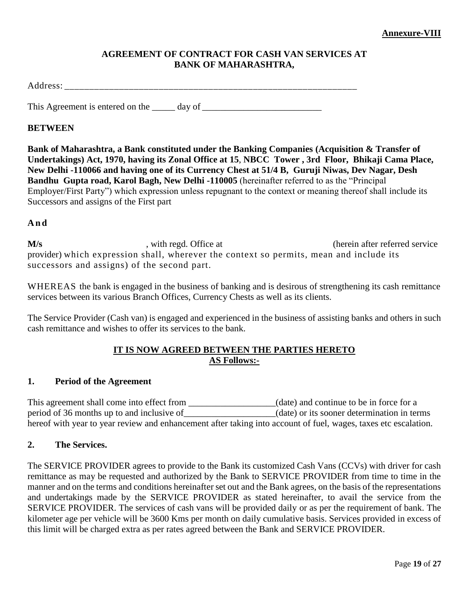#### **AGREEMENT OF CONTRACT FOR CASH VAN SERVICES AT BANK OF MAHARASHTRA,**

Address:

This Agreement is entered on the \_\_\_\_\_ day of \_\_\_\_\_\_\_\_\_\_\_\_\_\_\_\_\_\_\_\_\_\_\_\_\_\_\_\_\_\_\_\_\_\_

#### **BETWEEN**

**Bank of Maharashtra, a Bank constituted under the Banking Companies (Acquisition & Transfer of Undertakings) Act, 1970, having its Zonal Office at 15**, **NBCC Tower , 3rd Floor, Bhikaji Cama Place, New Delhi -110066 and having one of its Currency Chest at 51/4 B, Guruji Niwas, Dev Nagar, Desh Bandhu Gupta road, Karol Bagh, New Delhi -110005** (hereinafter referred to as the "Principal Employer/First Party") which expression unless repugnant to the context or meaning thereof shall include its Successors and assigns of the First part

#### **A n d**

**M/s** , with regd. Office at (herein after referred service provider) which expression shall, wherever the context so permits, mean and include its successors and assigns) of the second part.

WHEREAS the bank is engaged in the business of banking and is desirous of strengthening its cash remittance services between its various Branch Offices, Currency Chests as well as its clients.

The Service Provider (Cash van) is engaged and experienced in the business of assisting banks and others in such cash remittance and wishes to offer its services to the bank.

#### **IT IS NOW AGREED BETWEEN THE PARTIES HERETO AS Follows:-**

#### **1. Period of the Agreement**

This agreement shall come into effect from \_\_\_\_\_\_\_\_\_\_\_\_\_\_\_(date) and continue to be in force for a period of 36 months up to and inclusive of (date) or its sooner determination in terms hereof with year to year review and enhancement after taking into account of fuel, wages, taxes etc escalation.

#### **2. The Services.**

The SERVICE PROVIDER agrees to provide to the Bank its customized Cash Vans (CCVs) with driver for cash remittance as may be requested and authorized by the Bank to SERVICE PROVIDER from time to time in the manner and on the terms and conditions hereinafter set out and the Bank agrees, on the basis of the representations and undertakings made by the SERVICE PROVIDER as stated hereinafter, to avail the service from the SERVICE PROVIDER. The services of cash vans will be provided daily or as per the requirement of bank. The kilometer age per vehicle will be 3600 Kms per month on daily cumulative basis. Services provided in excess of this limit will be charged extra as per rates agreed between the Bank and SERVICE PROVIDER.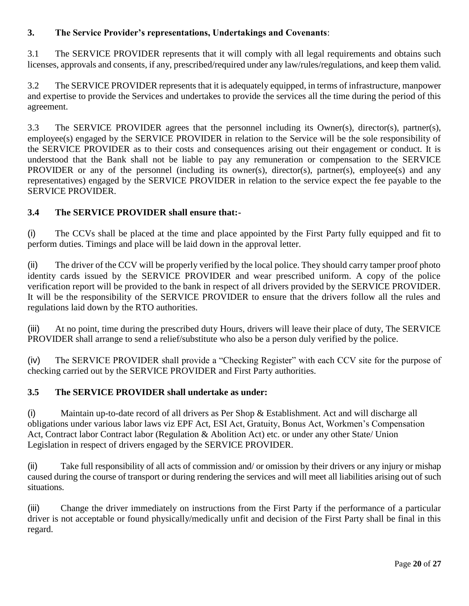## **3. The Service Provider's representations, Undertakings and Covenants**:

3.1 The SERVICE PROVIDER represents that it will comply with all legal requirements and obtains such licenses, approvals and consents, if any, prescribed/required under any law/rules/regulations, and keep them valid.

3.2 The SERVICE PROVIDER represents that it is adequately equipped, in terms of infrastructure, manpower and expertise to provide the Services and undertakes to provide the services all the time during the period of this agreement.

3.3 The SERVICE PROVIDER agrees that the personnel including its Owner(s), director(s), partner(s), employee(s) engaged by the SERVICE PROVIDER in relation to the Service will be the sole responsibility of the SERVICE PROVIDER as to their costs and consequences arising out their engagement or conduct. It is understood that the Bank shall not be liable to pay any remuneration or compensation to the SERVICE PROVIDER or any of the personnel (including its owner(s), director(s), partner(s), employee(s) and any representatives) engaged by the SERVICE PROVIDER in relation to the service expect the fee payable to the SERVICE PROVIDER.

## **3.4 The SERVICE PROVIDER shall ensure that:-**

(i) The CCVs shall be placed at the time and place appointed by the First Party fully equipped and fit to perform duties. Timings and place will be laid down in the approval letter.

(ii) The driver of the CCV will be properly verified by the local police. They should carry tamper proof photo identity cards issued by the SERVICE PROVIDER and wear prescribed uniform. A copy of the police verification report will be provided to the bank in respect of all drivers provided by the SERVICE PROVIDER. It will be the responsibility of the SERVICE PROVIDER to ensure that the drivers follow all the rules and regulations laid down by the RTO authorities.

(iii) At no point, time during the prescribed duty Hours, drivers will leave their place of duty, The SERVICE PROVIDER shall arrange to send a relief/substitute who also be a person duly verified by the police.

(iv) The SERVICE PROVIDER shall provide a "Checking Register" with each CCV site for the purpose of checking carried out by the SERVICE PROVIDER and First Party authorities.

## **3.5 The SERVICE PROVIDER shall undertake as under:**

(i) Maintain up-to-date record of all drivers as Per Shop & Establishment. Act and will discharge all obligations under various labor laws viz EPF Act, ESI Act, Gratuity, Bonus Act, Workmen's Compensation Act, Contract labor Contract labor (Regulation & Abolition Act) etc. or under any other State/ Union Legislation in respect of drivers engaged by the SERVICE PROVIDER.

(ii) Take full responsibility of all acts of commission and/ or omission by their drivers or any injury or mishap caused during the course of transport or during rendering the services and will meet all liabilities arising out of such situations.

(iii) Change the driver immediately on instructions from the First Party if the performance of a particular driver is not acceptable or found physically/medically unfit and decision of the First Party shall be final in this regard.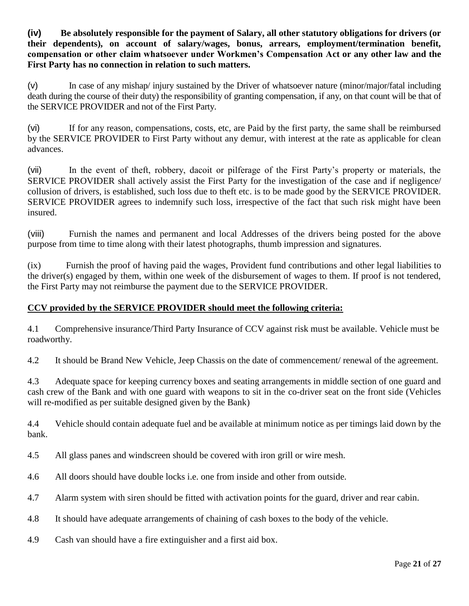**(iv) Be absolutely responsible for the payment of Salary, all other statutory obligations for drivers (or their dependents), on account of salary/wages, bonus, arrears, employment/termination benefit, compensation or other claim whatsoever under Workmen's Compensation Act or any other law and the First Party has no connection in relation to such matters.**

(v) In case of any mishap/ injury sustained by the Driver of whatsoever nature (minor/major/fatal including death during the course of their duty) the responsibility of granting compensation, if any, on that count will be that of the SERVICE PROVIDER and not of the First Party.

(vi) If for any reason, compensations, costs, etc, are Paid by the first party, the same shall be reimbursed by the SERVICE PROVIDER to First Party without any demur, with interest at the rate as applicable for clean advances.

(vii) In the event of theft, robbery, dacoit or pilferage of the First Party's property or materials, the SERVICE PROVIDER shall actively assist the First Party for the investigation of the case and if negligence/ collusion of drivers, is established, such loss due to theft etc. is to be made good by the SERVICE PROVIDER. SERVICE PROVIDER agrees to indemnify such loss, irrespective of the fact that such risk might have been insured.

(viii) Furnish the names and permanent and local Addresses of the drivers being posted for the above purpose from time to time along with their latest photographs, thumb impression and signatures.

(ix) Furnish the proof of having paid the wages, Provident fund contributions and other legal liabilities to the driver(s) engaged by them, within one week of the disbursement of wages to them. If proof is not tendered, the First Party may not reimburse the payment due to the SERVICE PROVIDER.

## **CCV provided by the SERVICE PROVIDER should meet the following criteria:**

4.1 Comprehensive insurance/Third Party Insurance of CCV against risk must be available. Vehicle must be roadworthy.

4.2 It should be Brand New Vehicle, Jeep Chassis on the date of commencement/ renewal of the agreement.

4.3 Adequate space for keeping currency boxes and seating arrangements in middle section of one guard and cash crew of the Bank and with one guard with weapons to sit in the co-driver seat on the front side (Vehicles will re-modified as per suitable designed given by the Bank)

4.4 Vehicle should contain adequate fuel and be available at minimum notice as per timings laid down by the bank.

- 4.5 All glass panes and windscreen should be covered with iron grill or wire mesh.
- 4.6 All doors should have double locks i.e. one from inside and other from outside.
- 4.7 Alarm system with siren should be fitted with activation points for the guard, driver and rear cabin.
- 4.8 It should have adequate arrangements of chaining of cash boxes to the body of the vehicle.
- 4.9 Cash van should have a fire extinguisher and a first aid box.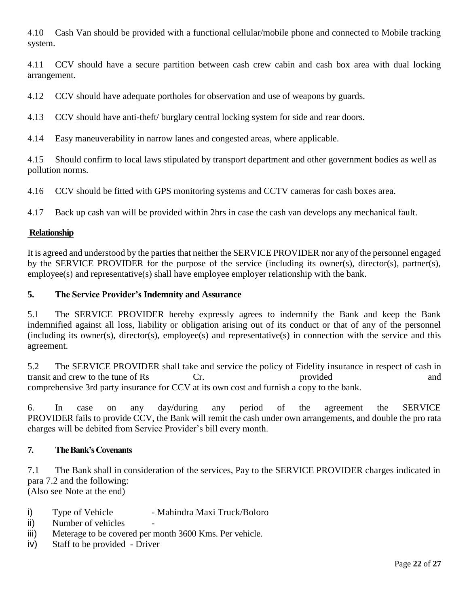4.10 Cash Van should be provided with a functional cellular/mobile phone and connected to Mobile tracking system.

4.11 CCV should have a secure partition between cash crew cabin and cash box area with dual locking arrangement.

4.12 CCV should have adequate portholes for observation and use of weapons by guards.

4.13 CCV should have anti-theft/ burglary central locking system for side and rear doors.

4.14 Easy maneuverability in narrow lanes and congested areas, where applicable.

4.15 Should confirm to local laws stipulated by transport department and other government bodies as well as pollution norms.

4.16 CCV should be fitted with GPS monitoring systems and CCTV cameras for cash boxes area.

4.17 Back up cash van will be provided within 2hrs in case the cash van develops any mechanical fault.

## **Relationship**

It is agreed and understood by the parties that neither the SERVICE PROVIDER nor any of the personnel engaged by the SERVICE PROVIDER for the purpose of the service (including its owner(s), director(s), partner(s), employee(s) and representative(s) shall have employee employer relationship with the bank.

#### **5. The Service Provider's Indemnity and Assurance**

5.1 The SERVICE PROVIDER hereby expressly agrees to indemnify the Bank and keep the Bank indemnified against all loss, liability or obligation arising out of its conduct or that of any of the personnel (including its owner(s), director(s), employee(s) and representative(s) in connection with the service and this agreement.

5.2 The SERVICE PROVIDER shall take and service the policy of Fidelity insurance in respect of cash in transit and crew to the tune of Rs Cr. provided and and provided and and and and  $\frac{1}{2}$  and  $\frac{1}{2}$  and  $\frac{1}{2}$  and  $\frac{1}{2}$  and  $\frac{1}{2}$  and  $\frac{1}{2}$  and  $\frac{1}{2}$  and  $\frac{1}{2}$  and  $\frac{1}{2}$  and  $\frac{1}{2}$  and comprehensive 3rd party insurance for CCV at its own cost and furnish a copy to the bank.

6. In case on any day/during any period of the agreement the SERVICE PROVIDER fails to provide CCV, the Bank will remit the cash under own arrangements, and double the pro rata charges will be debited from Service Provider's bill every month.

## **7. The Bank's Covenants**

7.1 The Bank shall in consideration of the services, Pay to the SERVICE PROVIDER charges indicated in para 7.2 and the following: (Also see Note at the end)

- i) Type of Vehicle Mahindra Maxi Truck/Boloro
- ii) Number of vehicles
- iii) Meterage to be covered per month 3600 Kms. Per vehicle.
- iv) Staff to be provided Driver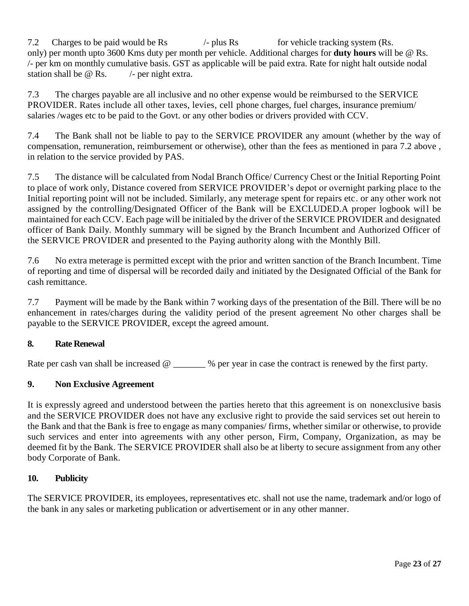7.2 Charges to be paid would be Rs  $/$ - plus Rs for vehicle tracking system (Rs. only) per month upto 3600 Kms duty per month per vehicle. Additional charges for **duty hours** will be @ Rs. /- per km on monthly cumulative basis. GST as applicable will be paid extra. Rate for night halt outside nodal station shall be  $\omega$  Rs.  $\theta$  - per night extra.

7.3 The charges payable are all inclusive and no other expense would be reimbursed to the SERVICE PROVIDER. Rates include all other taxes, levies, cell phone charges, fuel charges, insurance premium/ salaries /wages etc to be paid to the Govt. or any other bodies or drivers provided with CCV.

7.4 The Bank shall not be liable to pay to the SERVICE PROVIDER any amount (whether by the way of compensation, remuneration, reimbursement or otherwise), other than the fees as mentioned in para 7.2 above , in relation to the service provided by PAS.

7.5 The distance will be calculated from Nodal Branch Office/ Currency Chest or the Initial Reporting Point to place of work only, Distance covered from SERVICE PROVIDER's depot or overnight parking place to the Initial reporting point will not be included. Similarly, any meterage spent for repairs etc. or any other work not assigned by the controlling/Designated Officer of the Bank will be EXCLUDED.A proper logbook will be maintained for each CCV. Each page will be initialed by the driver of the SERVICE PROVIDER and designated officer of Bank Daily. Monthly summary will be signed by the Branch Incumbent and Authorized Officer of the SERVICE PROVIDER and presented to the Paying authority along with the Monthly Bill.

7.6 No extra meterage is permitted except with the prior and written sanction of the Branch Incumbent. Time of reporting and time of dispersal will be recorded daily and initiated by the Designated Official of the Bank for cash remittance.

7.7 Payment will be made by the Bank within 7 working days of the presentation of the Bill. There will be no enhancement in rates/charges during the validity period of the present agreement No other charges shall be payable to the SERVICE PROVIDER, except the agreed amount.

## **8. Rate Renewal**

Rate per cash van shall be increased  $\omega$  \_\_\_\_\_\_ % per year in case the contract is renewed by the first party.

## **9. Non Exclusive Agreement**

It is expressly agreed and understood between the parties hereto that this agreement is on nonexclusive basis and the SERVICE PROVIDER does not have any exclusive right to provide the said services set out herein to the Bank and that the Bank is free to engage as many companies/ firms, whether similar or otherwise, to provide such services and enter into agreements with any other person, Firm, Company, Organization, as may be deemed fit by the Bank. The SERVICE PROVIDER shall also be at liberty to secure assignment from any other body Corporate of Bank.

## **10. Publicity**

The SERVICE PROVIDER, its employees, representatives etc. shall not use the name, trademark and/or logo of the bank in any sales or marketing publication or advertisement or in any other manner.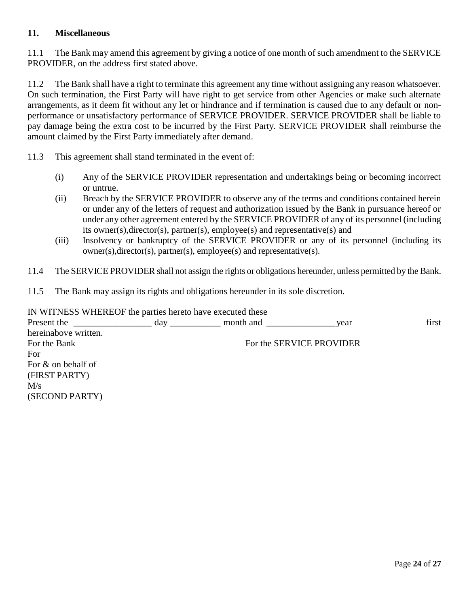#### **11. Miscellaneous**

11.1 The Bank may amend this agreement by giving a notice of one month of such amendment to the SERVICE PROVIDER, on the address first stated above.

11.2 The Bank shall have a right to terminate this agreement any time without assigning any reason whatsoever. On such termination, the First Party will have right to get service from other Agencies or make such alternate arrangements, as it deem fit without any let or hindrance and if termination is caused due to any default or nonperformance or unsatisfactory performance of SERVICE PROVIDER. SERVICE PROVIDER shall be liable to pay damage being the extra cost to be incurred by the First Party. SERVICE PROVIDER shall reimburse the amount claimed by the First Party immediately after demand.

11.3 This agreement shall stand terminated in the event of:

- (i) Any of the SERVICE PROVIDER representation and undertakings being or becoming incorrect or untrue.
- (ii) Breach by the SERVICE PROVIDER to observe any of the terms and conditions contained herein or under any of the letters of request and authorization issued by the Bank in pursuance hereof or under any other agreement entered by the SERVICE PROVIDER of any of its personnel (including its owner(s),director(s), partner(s), employee(s) and representative(s) and
- (iii) Insolvency or bankruptcy of the SERVICE PROVIDER or any of its personnel (including its owner(s),director(s), partner(s), employee(s) and representative(s).
- 11.4 The SERVICE PROVIDER shall not assign the rights or obligations hereunder, unless permitted by the Bank.
- 11.5 The Bank may assign its rights and obligations hereunder in its sole discretion.

IN WITNESS WHEREOF the parties hereto have executed these Present the \_\_\_\_\_\_\_\_\_\_\_\_\_\_\_\_\_\_ day \_\_\_\_\_\_\_\_\_\_\_\_ month and \_\_\_\_\_\_\_\_\_\_\_\_\_\_\_\_\_\_\_\_\_\_\_ year first hereinabove written. For the Bank For the SERVICE PROVIDER For For & on behalf of (FIRST PARTY)  $M/s$ (SECOND PARTY)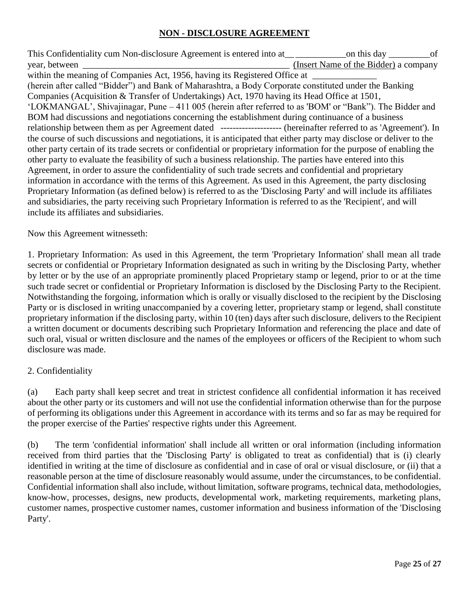## **NON - DISCLOSURE AGREEMENT**

This Confidentiality cum Non-disclosure Agreement is entered into at\_\_ \_\_\_\_\_\_\_\_\_\_\_on this day \_\_\_\_\_\_\_\_\_of year, between \_\_\_\_\_\_\_\_\_\_\_\_\_\_\_\_\_\_\_\_\_\_\_\_\_\_\_\_\_\_\_\_\_\_\_\_\_\_\_\_\_\_\_\_\_ (Insert Name of the Bidder) a company within the meaning of Companies Act, 1956, having its Registered Office at (herein after called "Bidder") and Bank of Maharashtra, a Body Corporate constituted under the Banking Companies (Acquisition & Transfer of Undertakings) Act, 1970 having its Head Office at 1501, 'LOKMANGAL', Shivajinagar, Pune – 411 005 (herein after referred to as 'BOM' or "Bank"). The Bidder and BOM had discussions and negotiations concerning the establishment during continuance of a business relationship between them as per Agreement dated -------------------- (hereinafter referred to as 'Agreement'). In the course of such discussions and negotiations, it is anticipated that either party may disclose or deliver to the other party certain of its trade secrets or confidential or proprietary information for the purpose of enabling the other party to evaluate the feasibility of such a business relationship. The parties have entered into this Agreement, in order to assure the confidentiality of such trade secrets and confidential and proprietary information in accordance with the terms of this Agreement. As used in this Agreement, the party disclosing Proprietary Information (as defined below) is referred to as the 'Disclosing Party' and will include its affiliates and subsidiaries, the party receiving such Proprietary Information is referred to as the 'Recipient', and will include its affiliates and subsidiaries.

Now this Agreement witnesseth:

1. Proprietary Information: As used in this Agreement, the term 'Proprietary Information' shall mean all trade secrets or confidential or Proprietary Information designated as such in writing by the Disclosing Party, whether by letter or by the use of an appropriate prominently placed Proprietary stamp or legend, prior to or at the time such trade secret or confidential or Proprietary Information is disclosed by the Disclosing Party to the Recipient. Notwithstanding the forgoing, information which is orally or visually disclosed to the recipient by the Disclosing Party or is disclosed in writing unaccompanied by a covering letter, proprietary stamp or legend, shall constitute proprietary information if the disclosing party, within 10 (ten) days after such disclosure, delivers to the Recipient a written document or documents describing such Proprietary Information and referencing the place and date of such oral, visual or written disclosure and the names of the employees or officers of the Recipient to whom such disclosure was made.

## 2. Confidentiality

(a) Each party shall keep secret and treat in strictest confidence all confidential information it has received about the other party or its customers and will not use the confidential information otherwise than for the purpose of performing its obligations under this Agreement in accordance with its terms and so far as may be required for the proper exercise of the Parties' respective rights under this Agreement.

(b) The term 'confidential information' shall include all written or oral information (including information received from third parties that the 'Disclosing Party' is obligated to treat as confidential) that is (i) clearly identified in writing at the time of disclosure as confidential and in case of oral or visual disclosure, or (ii) that a reasonable person at the time of disclosure reasonably would assume, under the circumstances, to be confidential. Confidential information shall also include, without limitation, software programs, technical data, methodologies, know-how, processes, designs, new products, developmental work, marketing requirements, marketing plans, customer names, prospective customer names, customer information and business information of the 'Disclosing Party'.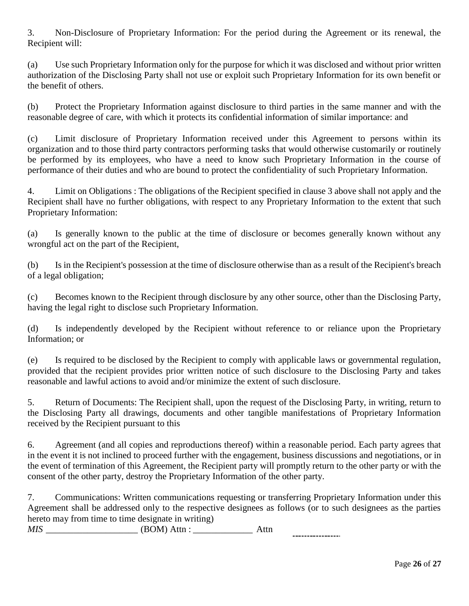3. Non-Disclosure of Proprietary Information: For the period during the Agreement or its renewal, the Recipient will:

(a) Use such Proprietary Information only for the purpose for which it was disclosed and without prior written authorization of the Disclosing Party shall not use or exploit such Proprietary Information for its own benefit or the benefit of others.

(b) Protect the Proprietary Information against disclosure to third parties in the same manner and with the reasonable degree of care, with which it protects its confidential information of similar importance: and

(c) Limit disclosure of Proprietary Information received under this Agreement to persons within its organization and to those third party contractors performing tasks that would otherwise customarily or routinely be performed by its employees, who have a need to know such Proprietary Information in the course of performance of their duties and who are bound to protect the confidentiality of such Proprietary Information.

4. Limit on Obligations : The obligations of the Recipient specified in clause 3 above shall not apply and the Recipient shall have no further obligations, with respect to any Proprietary Information to the extent that such Proprietary Information:

(a) Is generally known to the public at the time of disclosure or becomes generally known without any wrongful act on the part of the Recipient,

(b) Is in the Recipient's possession at the time of disclosure otherwise than as a result of the Recipient's breach of a legal obligation;

(c) Becomes known to the Recipient through disclosure by any other source, other than the Disclosing Party, having the legal right to disclose such Proprietary Information.

(d) Is independently developed by the Recipient without reference to or reliance upon the Proprietary Information; or

(e) Is required to be disclosed by the Recipient to comply with applicable laws or governmental regulation, provided that the recipient provides prior written notice of such disclosure to the Disclosing Party and takes reasonable and lawful actions to avoid and/or minimize the extent of such disclosure.

5. Return of Documents: The Recipient shall, upon the request of the Disclosing Party, in writing, return to the Disclosing Party all drawings, documents and other tangible manifestations of Proprietary Information received by the Recipient pursuant to this

6. Agreement (and all copies and reproductions thereof) within a reasonable period. Each party agrees that in the event it is not inclined to proceed further with the engagement, business discussions and negotiations, or in the event of termination of this Agreement, the Recipient party will promptly return to the other party or with the consent of the other party, destroy the Proprietary Information of the other party.

7. Communications: Written communications requesting or transferring Proprietary Information under this Agreement shall be addressed only to the respective designees as follows (or to such designees as the parties hereto may from time to time designate in writing) *MIS \_\_\_\_\_\_\_\_\_\_\_\_\_\_\_\_\_\_\_\_* (BOM) Attn : \_\_\_\_\_\_\_\_\_\_\_\_\_ Attn